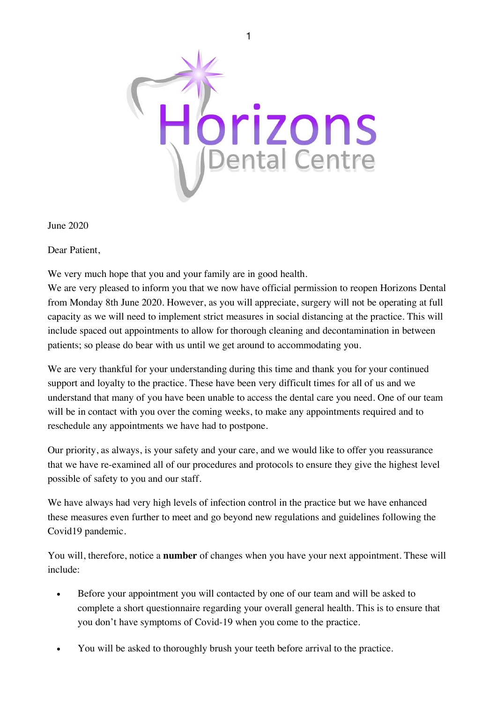

June 2020

Dear Patient,

We very much hope that you and your family are in good health.

We are very pleased to inform you that we now have official permission to reopen Horizons Dental from Monday 8th June 2020. However, as you will appreciate, surgery will not be operating at full capacity as we will need to implement strict measures in social distancing at the practice. This will include spaced out appointments to allow for thorough cleaning and decontamination in between patients; so please do bear with us until we get around to accommodating you.

We are very thankful for your understanding during this time and thank you for your continued support and loyalty to the practice. These have been very difficult times for all of us and we understand that many of you have been unable to access the dental care you need. One of our team will be in contact with you over the coming weeks, to make any appointments required and to reschedule any appointments we have had to postpone.

Our priority, as always, is your safety and your care, and we would like to offer you reassurance that we have re-examined all of our procedures and protocols to ensure they give the highest level possible of safety to you and our staff.

We have always had very high levels of infection control in the practice but we have enhanced these measures even further to meet and go beyond new regulations and guidelines following the Covid19 pandemic.

You will, therefore, notice a **number** of changes when you have your next appointment. These will include:

- Before your appointment you will contacted by one of our team and will be asked to complete a short questionnaire regarding your overall general health. This is to ensure that you don't have symptoms of Covid-19 when you come to the practice.
- You will be asked to thoroughly brush your teeth before arrival to the practice.